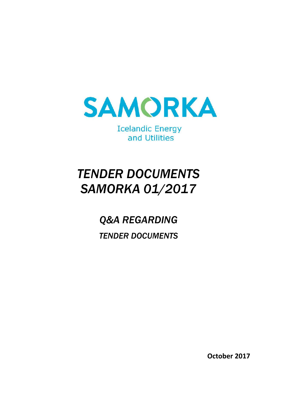

**Icelandic Energy** and Utilities

# *TENDER DOCUMENTS SAMORKA 01/2017*

*Q&A REGARDING TENDER DOCUMENTS*

**October 2017**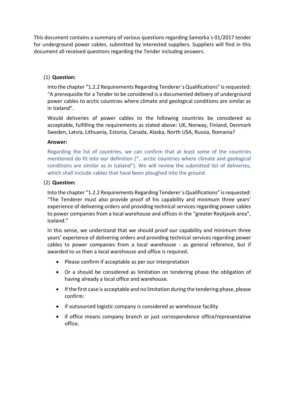This document contains a summary of various questions regarding Samorka´s 01/2017 tender for underground power cables, submitted by interested suppliers. Suppliers will find in this document all received questions regarding the Tender including answers.

# (1) **Question:**

Into the chapter "1.2.2 Requirements Regarding Tenderer´s Qualifications" is requested: "A prerequisite for a Tender to be considered is a documented delivery of underground power cables to arctic countries where climate and geological conditions are similar as in Iceland".

Would deliveries of power cables to the following countries be considered as acceptable, fulfilling the requirements as stated above: UK, Norway, Finland, Denmark Sweden, Latvia, Lithuania, Estonia, Canada, Alaska, North USA, Russia, Romania?

# **Answer:**

Regarding the list of countries, we can confirm that at least some of the countries mentioned do fit into our definition (".. arctic countries where climate and geological conditions are similar as in Iceland"). We will review the submitted list of deliveries, which shall include cables that have been ploughed into the ground.

# (2) **Question:**

Into the chapter "1.2.2 Requirements Regarding Tenderer´s Qualifications" is requested: "The Tenderer must also provide proof of his capability and minimum three years' experience of delivering orders and providing technical services regarding power cables to power companies from a local warehouse and offices in the "greater Reykjavik area", Iceland."

In this sense, we understand that we should proof our capability and minimum three years' experience of delivering orders and providing technical services regarding power cables to power companies from a local warehouse - as general reference, but if awarded to us then a local warehouse and office is required.

- Please confirm if acceptable as per our interpretation
- Or a should be considered as limitation on tendering phase the obligation of having already a local office and warehouse.
- If the first case is acceptable and no limitation during the tendering phase, please confirm:
- if outsourced logistic company is considered as warehouse facility
- if office means company branch or just correspondence office/representative office.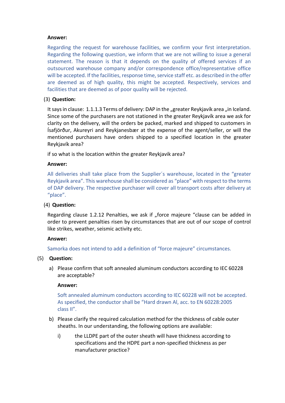# **Answer:**

Regarding the request for warehouse facilities, we confirm your first interpretation. Regarding the following question, we inform that we are not willing to issue a general statement. The reason is that it depends on the quality of offered services if an outsourced warehouse company and/or correspondence office/representative office will be accepted. If the facilities, response time, service staff etc. as described in the offer are deemed as of high quality, this might be accepted. Respectively, services and facilities that are deemed as of poor quality will be rejected.

# (3) **Question:**

It says in clause: 1.1.1.3 Terms of delivery: DAP in the "greater Reykjavík area "in Iceland. Since some of the purchasers are not stationed in the greater Reykjavík area we ask for clarity on the delivery, will the orders be packed, marked and shipped to customers in Ísafjörður, Akureyri and Reykjanesbær at the expense of the agent/seller, or will the mentioned purchasers have orders shipped to a specified location in the greater Reykjavík area?

if so what is the location within the greater Reykjavik area?

# **Answer:**

All deliveries shall take place from the Supplier´s warehouse, located in the "greater Reykjavik area". This warehouse shall be considered as "place" with respect to the terms of DAP delivery. The respective purchaser will cover all transport costs after delivery at "place".

# (4) **Question:**

Regarding clause 1.2.12 Penalties, we ask if "force majeure "clause can be added in order to prevent penalties risen by circumstances that are out of our scope of control like strikes, weather, seismic activity etc.

# **Answer:**

Samorka does not intend to add a definition of "force majeure" circumstances.

# (5) **Question:**

a) Please confirm that soft annealed aluminum conductors according to IEC 60228 are acceptable?

# **Answer:**

Soft annealed aluminum conductors according to IEC 60228 will not be accepted. As specified, the conductor shall be "Hard drawn Al, acc. to EN 60228:2005 class II".

- b) Please clarify the required calculation method for the thickness of cable outer sheaths. In our understanding, the following options are available:
	- i) the LLDPE part of the outer sheath will have thickness according to specifications and the HDPE part a non-specified thickness as per manufacturer practice?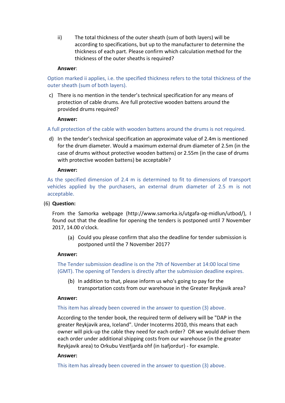ii) The total thickness of the outer sheath (sum of both layers) will be according to specifications, but up to the manufacturer to determine the thickness of each part. Please confirm which calculation method for the thickness of the outer sheaths is required?

# **Answer**:

Option marked ii applies, i.e. the specified thickness refers to the total thickness of the outer sheath (sum of both layers).

c) There is no mention in the tender's technical specification for any means of protection of cable drums. Are full protective wooden battens around the provided drums required?

#### **Answer:**

A full protection of the cable with wooden battens around the drums is not required.

d) In the tender's technical specification an approximate value of 2.4m is mentioned for the drum diameter. Would a maximum external drum diameter of 2.5m (in the case of drums without protective wooden battens) or 2.55m (in the case of drums with protective wooden battens) be acceptable?

#### **Answer:**

As the specified dimension of 2.4 m is determined to fit to dimensions of transport vehicles applied by the purchasers, an external drum diameter of 2.5 m is not acceptable.

# (6) **Question:**

From the Samorka webpage (http://www.samorka.is/utgafa-og-midlun/utbod/), I found out that the deadline for opening the tenders is postponed until 7 November 2017, 14.00 o'clock.

(a) Could you please confirm that also the deadline for tender submission is postponed until the 7 November 2017?

# **Answer:**

The Tender submission deadline is on the 7th of November at 14:00 local time (GMT). The opening of Tenders is directly after the submission deadline expires.

 $(b)$  In addition to that, please inform us who's going to pay for the transportation costs from our warehouse in the Greater Reykjavik area?

#### **Answer:**

# This item has already been covered in the answer to question (3) above.

According to the tender book, the required term of delivery will be "DAP in the greater Reykjavik area, Iceland". Under Incoterms 2010, this means that each owner will pick-up the cable they need for each order? OR we would deliver them each order under additional shipping costs from our warehouse (in the greater Reykjavik area) to Orkubu Vestfjarda ohf (in Isafjordur) - for example.

# **Answer:**

This item has already been covered in the answer to question (3) above.